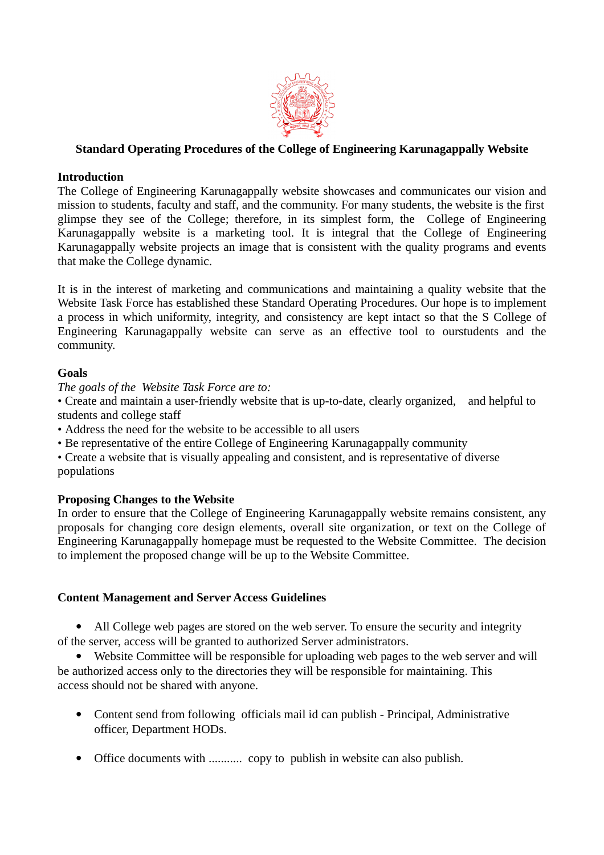

## **Standard Operating Procedures of the College of Engineering Karunagappally Website**

#### **Introduction**

The College of Engineering Karunagappally website showcases and communicates our vision and mission to students, faculty and staff, and the community. For many students, the website is the first glimpse they see of the College; therefore, in its simplest form, the College of Engineering Karunagappally website is a marketing tool. It is integral that the College of Engineering Karunagappally website projects an image that is consistent with the quality programs and events that make the College dynamic.

It is in the interest of marketing and communications and maintaining a quality website that the Website Task Force has established these Standard Operating Procedures. Our hope is to implement a process in which uniformity, integrity, and consistency are kept intact so that the S College of Engineering Karunagappally website can serve as an effective tool to ourstudents and the community.

## **Goals**

*The goals of the Website Task Force are to:*

• Create and maintain a user-friendly website that is up-to-date, clearly organized, and helpful to students and college staff

• Address the need for the website to be accessible to all users

• Be representative of the entire College of Engineering Karunagappally community

• Create a website that is visually appealing and consistent, and is representative of diverse populations

#### **Proposing Changes to the Website**

In order to ensure that the College of Engineering Karunagappally website remains consistent, any proposals for changing core design elements, overall site organization, or text on the College of Engineering Karunagappally homepage must be requested to the Website Committee. The decision to implement the proposed change will be up to the Website Committee.

## **Content Management and Server Access Guidelines**

• All College web pages are stored on the web server. To ensure the security and integrity of the server, access will be granted to authorized Server administrators.

 Website Committee will be responsible for uploading web pages to the web server and will be authorized access only to the directories they will be responsible for maintaining. This access should not be shared with anyone.

- Content send from following officials mail id can publish Principal, Administrative officer, Department HODs.
- Office documents with ........... copy to publish in website can also publish.